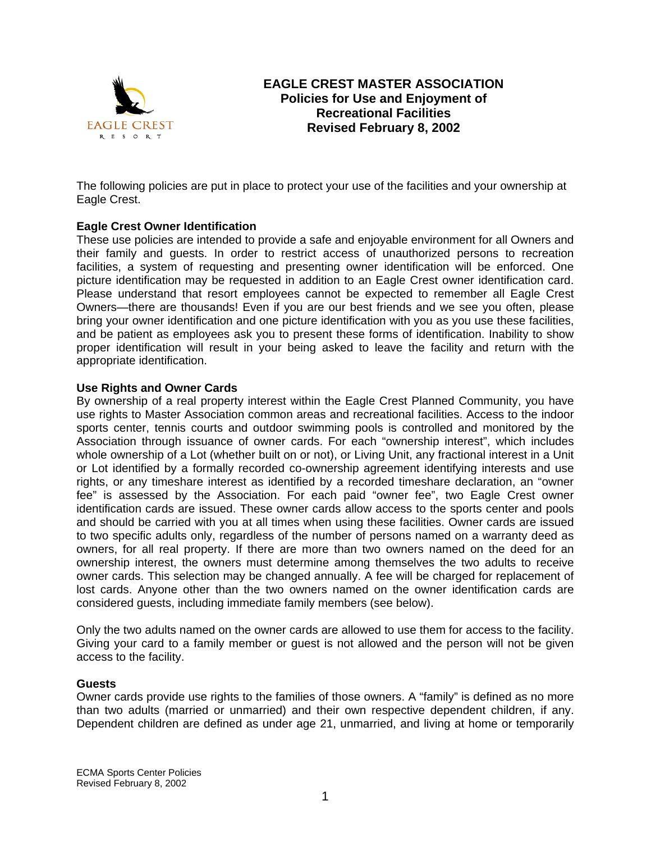

# **EAGLE CREST MASTER ASSOCIATION Policies for Use and Enjoyment of Recreational Facilities Revised February 8, 2002**

The following policies are put in place to protect your use of the facilities and your ownership at Eagle Crest.

# **Eagle Crest Owner Identification**

These use policies are intended to provide a safe and enjoyable environment for all Owners and their family and guests. In order to restrict access of unauthorized persons to recreation facilities, a system of requesting and presenting owner identification will be enforced. One picture identification may be requested in addition to an Eagle Crest owner identification card. Please understand that resort employees cannot be expected to remember all Eagle Crest Owners—there are thousands! Even if you are our best friends and we see you often, please bring your owner identification and one picture identification with you as you use these facilities, and be patient as employees ask you to present these forms of identification. Inability to show proper identification will result in your being asked to leave the facility and return with the appropriate identification.

# **Use Rights and Owner Cards**

By ownership of a real property interest within the Eagle Crest Planned Community, you have use rights to Master Association common areas and recreational facilities. Access to the indoor sports center, tennis courts and outdoor swimming pools is controlled and monitored by the Association through issuance of owner cards. For each "ownership interest", which includes whole ownership of a Lot (whether built on or not), or Living Unit, any fractional interest in a Unit or Lot identified by a formally recorded co-ownership agreement identifying interests and use rights, or any timeshare interest as identified by a recorded timeshare declaration, an "owner fee" is assessed by the Association. For each paid "owner fee", two Eagle Crest owner identification cards are issued. These owner cards allow access to the sports center and pools and should be carried with you at all times when using these facilities. Owner cards are issued to two specific adults only, regardless of the number of persons named on a warranty deed as owners, for all real property. If there are more than two owners named on the deed for an ownership interest, the owners must determine among themselves the two adults to receive owner cards. This selection may be changed annually. A fee will be charged for replacement of lost cards. Anyone other than the two owners named on the owner identification cards are considered guests, including immediate family members (see below).

Only the two adults named on the owner cards are allowed to use them for access to the facility. Giving your card to a family member or guest is not allowed and the person will not be given access to the facility.

# **Guests**

Owner cards provide use rights to the families of those owners. A "family" is defined as no more than two adults (married or unmarried) and their own respective dependent children, if any. Dependent children are defined as under age 21, unmarried, and living at home or temporarily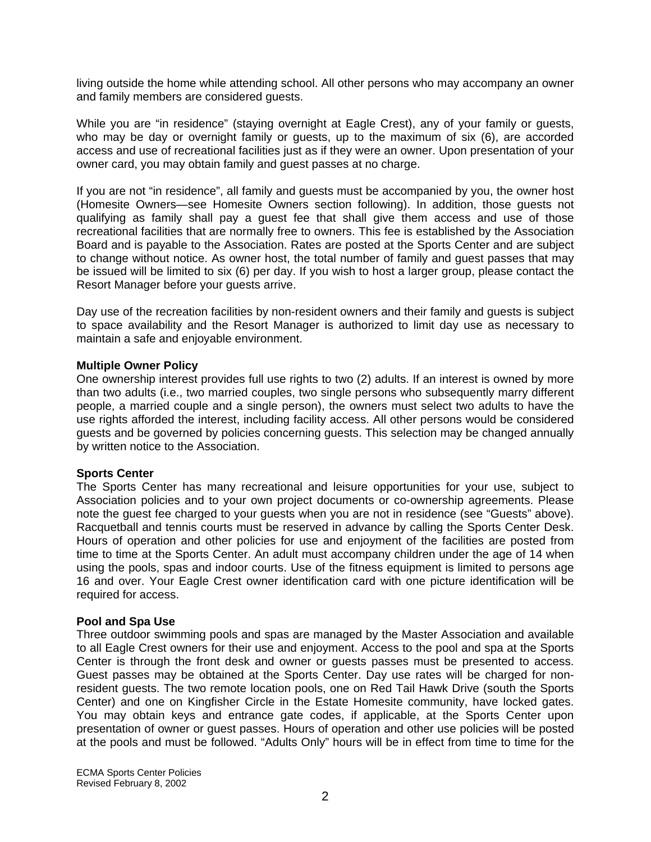living outside the home while attending school. All other persons who may accompany an owner and family members are considered guests.

While you are "in residence" (staying overnight at Eagle Crest), any of your family or guests, who may be day or overnight family or guests, up to the maximum of six (6), are accorded access and use of recreational facilities just as if they were an owner. Upon presentation of your owner card, you may obtain family and guest passes at no charge.

If you are not "in residence", all family and guests must be accompanied by you, the owner host (Homesite Owners—see Homesite Owners section following). In addition, those guests not qualifying as family shall pay a guest fee that shall give them access and use of those recreational facilities that are normally free to owners. This fee is established by the Association Board and is payable to the Association. Rates are posted at the Sports Center and are subject to change without notice. As owner host, the total number of family and guest passes that may be issued will be limited to six (6) per day. If you wish to host a larger group, please contact the Resort Manager before your guests arrive.

Day use of the recreation facilities by non-resident owners and their family and guests is subject to space availability and the Resort Manager is authorized to limit day use as necessary to maintain a safe and enjoyable environment.

# **Multiple Owner Policy**

One ownership interest provides full use rights to two (2) adults. If an interest is owned by more than two adults (i.e., two married couples, two single persons who subsequently marry different people, a married couple and a single person), the owners must select two adults to have the use rights afforded the interest, including facility access. All other persons would be considered guests and be governed by policies concerning guests. This selection may be changed annually by written notice to the Association.

#### **Sports Center**

The Sports Center has many recreational and leisure opportunities for your use, subject to Association policies and to your own project documents or co-ownership agreements. Please note the guest fee charged to your guests when you are not in residence (see "Guests" above). Racquetball and tennis courts must be reserved in advance by calling the Sports Center Desk. Hours of operation and other policies for use and enjoyment of the facilities are posted from time to time at the Sports Center. An adult must accompany children under the age of 14 when using the pools, spas and indoor courts. Use of the fitness equipment is limited to persons age 16 and over. Your Eagle Crest owner identification card with one picture identification will be required for access.

#### **Pool and Spa Use**

Three outdoor swimming pools and spas are managed by the Master Association and available to all Eagle Crest owners for their use and enjoyment. Access to the pool and spa at the Sports Center is through the front desk and owner or guests passes must be presented to access. Guest passes may be obtained at the Sports Center. Day use rates will be charged for nonresident guests. The two remote location pools, one on Red Tail Hawk Drive (south the Sports Center) and one on Kingfisher Circle in the Estate Homesite community, have locked gates. You may obtain keys and entrance gate codes, if applicable, at the Sports Center upon presentation of owner or guest passes. Hours of operation and other use policies will be posted at the pools and must be followed. "Adults Only" hours will be in effect from time to time for the

ECMA Sports Center Policies Revised February 8, 2002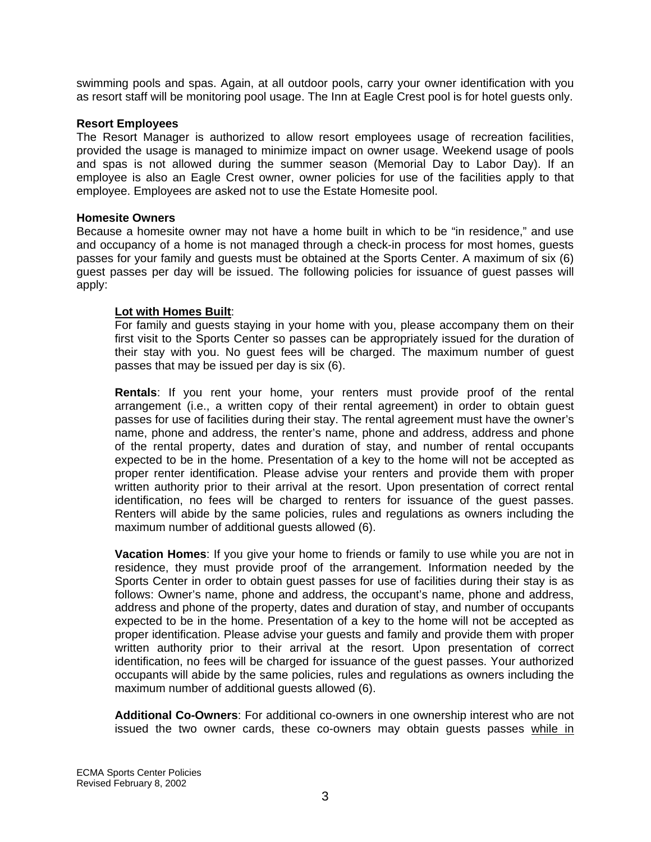swimming pools and spas. Again, at all outdoor pools, carry your owner identification with you as resort staff will be monitoring pool usage. The Inn at Eagle Crest pool is for hotel guests only.

#### **Resort Employees**

The Resort Manager is authorized to allow resort employees usage of recreation facilities, provided the usage is managed to minimize impact on owner usage. Weekend usage of pools and spas is not allowed during the summer season (Memorial Day to Labor Day). If an employee is also an Eagle Crest owner, owner policies for use of the facilities apply to that employee. Employees are asked not to use the Estate Homesite pool.

# **Homesite Owners**

Because a homesite owner may not have a home built in which to be "in residence," and use and occupancy of a home is not managed through a check-in process for most homes, guests passes for your family and guests must be obtained at the Sports Center. A maximum of six (6) guest passes per day will be issued. The following policies for issuance of guest passes will apply:

# **Lot with Homes Built**:

For family and guests staying in your home with you, please accompany them on their first visit to the Sports Center so passes can be appropriately issued for the duration of their stay with you. No guest fees will be charged. The maximum number of guest passes that may be issued per day is six (6).

**Rentals**: If you rent your home, your renters must provide proof of the rental arrangement (i.e., a written copy of their rental agreement) in order to obtain guest passes for use of facilities during their stay. The rental agreement must have the owner's name, phone and address, the renter's name, phone and address, address and phone of the rental property, dates and duration of stay, and number of rental occupants expected to be in the home. Presentation of a key to the home will not be accepted as proper renter identification. Please advise your renters and provide them with proper written authority prior to their arrival at the resort. Upon presentation of correct rental identification, no fees will be charged to renters for issuance of the guest passes. Renters will abide by the same policies, rules and regulations as owners including the maximum number of additional guests allowed (6).

**Vacation Homes**: If you give your home to friends or family to use while you are not in residence, they must provide proof of the arrangement. Information needed by the Sports Center in order to obtain guest passes for use of facilities during their stay is as follows: Owner's name, phone and address, the occupant's name, phone and address, address and phone of the property, dates and duration of stay, and number of occupants expected to be in the home. Presentation of a key to the home will not be accepted as proper identification. Please advise your guests and family and provide them with proper written authority prior to their arrival at the resort. Upon presentation of correct identification, no fees will be charged for issuance of the guest passes. Your authorized occupants will abide by the same policies, rules and regulations as owners including the maximum number of additional guests allowed (6).

**Additional Co-Owners**: For additional co-owners in one ownership interest who are not issued the two owner cards, these co-owners may obtain guests passes while in